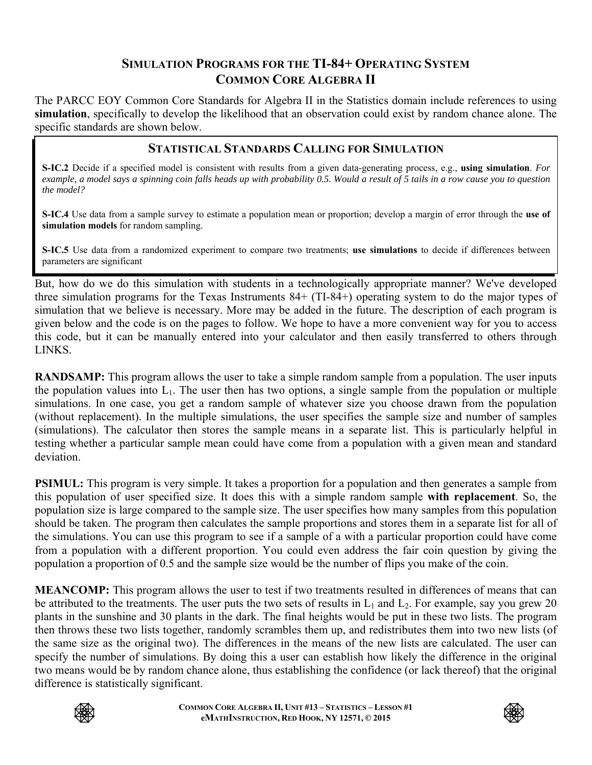#### **SIMULATION PROGRAMS FOR THE TI-84+ OPERATING SYSTEM COMMON CORE ALGEBRA II**

The PARCC EOY Common Core Standards for Algebra II in the Statistics domain include references to using **simulation**, specifically to develop the likelihood that an observation could exist by random chance alone. The specific standards are shown below.

#### **STATISTICAL STANDARDS CALLING FOR SIMULATION**

**S-IC.2** Decide if a specified model is consistent with results from a given data-generating process, e.g., **using simulation**. *For example, a model says a spinning coin falls heads up with probability 0.5. Would a result of 5 tails in a row cause you to question the model?*

**S-IC.4** Use data from a sample survey to estimate a population mean or proportion; develop a margin of error through the **use of simulation models** for random sampling.

**S-IC.5** Use data from a randomized experiment to compare two treatments; **use simulations** to decide if differences between parameters are significant

But, how do we do this simulation with students in a technologically appropriate manner? We've developed three simulation programs for the Texas Instruments 84+ (TI-84+) operating system to do the major types of simulation that we believe is necessary. More may be added in the future. The description of each program is given below and the code is on the pages to follow. We hope to have a more convenient way for you to access this code, but it can be manually entered into your calculator and then easily transferred to others through LINKS.

**RANDSAMP:** This program allows the user to take a simple random sample from a population. The user inputs the population values into  $L_1$ . The user then has two options, a single sample from the population or multiple simulations. In one case, you get a random sample of whatever size you choose drawn from the population (without replacement). In the multiple simulations, the user specifies the sample size and number of samples (simulations). The calculator then stores the sample means in a separate list. This is particularly helpful in testing whether a particular sample mean could have come from a population with a given mean and standard deviation.

**PSIMUL:** This program is very simple. It takes a proportion for a population and then generates a sample from this population of user specified size. It does this with a simple random sample **with replacement**. So, the population size is large compared to the sample size. The user specifies how many samples from this population should be taken. The program then calculates the sample proportions and stores them in a separate list for all of the simulations. You can use this program to see if a sample of a with a particular proportion could have come from a population with a different proportion. You could even address the fair coin question by giving the population a proportion of 0.5 and the sample size would be the number of flips you make of the coin.

**MEANCOMP:** This program allows the user to test if two treatments resulted in differences of means that can be attributed to the treatments. The user puts the two sets of results in  $L_1$  and  $L_2$ . For example, say you grew 20 plants in the sunshine and 30 plants in the dark. The final heights would be put in these two lists. The program then throws these two lists together, randomly scrambles them up, and redistributes them into two new lists (of the same size as the original two). The differences in the means of the new lists are calculated. The user can specify the number of simulations. By doing this a user can establish how likely the difference in the original two means would be by random chance alone, thus establishing the confidence (or lack thereof) that the original difference is statistically significant.



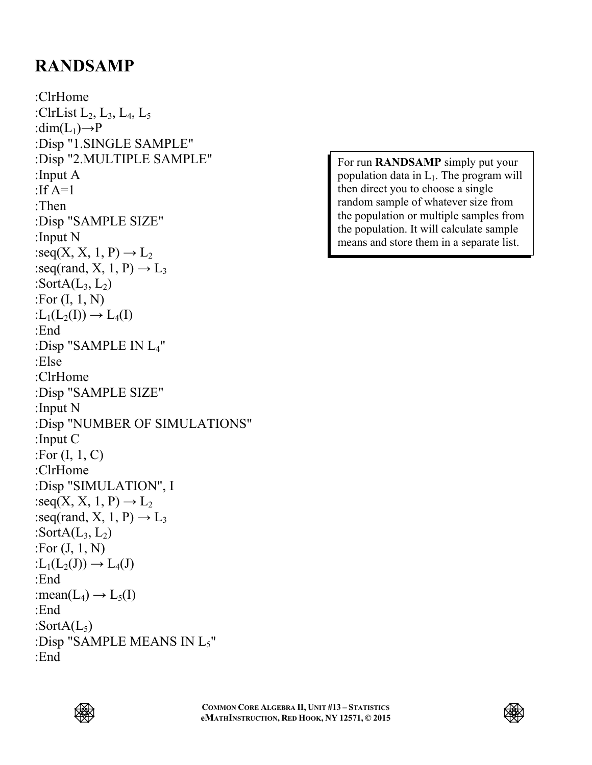## **RANDSAMP**

:ClrHome :ClrList  $L_2$ ,  $L_3$ ,  $L_4$ ,  $L_5$ : $dim(L_1) \rightarrow P$ :Disp "1.SINGLE SAMPLE" :Disp "2.MULTIPLE SAMPLE" :Input A :If  $A=1$ :Then :Disp "SAMPLE SIZE" :Input N :seq(X, X, 1, P)  $\rightarrow$  L<sub>2</sub> :seq(rand, X, 1, P)  $\rightarrow$  L<sub>3</sub> :SortA $(L_3, L_2)$ :For (I, 1, N)  $:L_1(L_2(I)) \rightarrow L_4(I)$ :End :Disp "SAMPLE IN L4" :Else :ClrHome :Disp "SAMPLE SIZE" :Input N :Disp "NUMBER OF SIMULATIONS" :Input C :For  $(I, 1, C)$ :ClrHome :Disp "SIMULATION", I :seq(X, X, 1, P)  $\rightarrow$  L<sub>2</sub> :seq(rand, X, 1, P)  $\rightarrow$  L<sub>3</sub> :SortA $(L_3, L_2)$ :For (J, 1, N)  $:L_1(L_2(J)) \to L_4(J)$ :End : mean( $L_4$ )  $\rightarrow$   $L_5(I)$ :End :SortA $(L_5)$ :Disp "SAMPLE MEANS IN L5" :End

For run **RANDSAMP** simply put your population data in  $L_1$ . The program will then direct you to choose a single random sample of whatever size from the population or multiple samples from the population. It will calculate sample means and store them in a separate list.



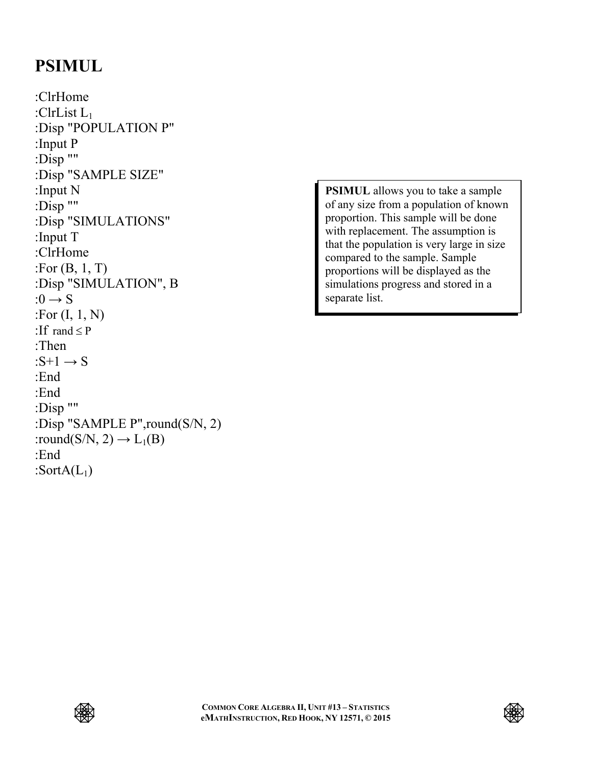### **PSIMUL**

:ClrHome :ClrList L1 :Disp "POPULATION P" :Input P :Disp "" :Disp "SAMPLE SIZE" :Input N :Disp "" :Disp "SIMULATIONS" :Input T :ClrHome :For (B, 1, T) :Disp "SIMULATION", B : $0 \rightarrow S$ :For (I, 1, N) :If rand  $\leq P$ :Then : $S+1 \rightarrow S$ :End :End :Disp "" :Disp "SAMPLE P",round(S/N, 2) :round(S/N, 2)  $\rightarrow$  L<sub>1</sub>(B) :End :Sort $A(L_1)$ 

**PSIMUL** allows you to take a sample of any size from a population of known proportion. This sample will be done with replacement. The assumption is that the population is very large in size compared to the sample. Sample proportions will be displayed as the simulations progress and stored in a separate list.